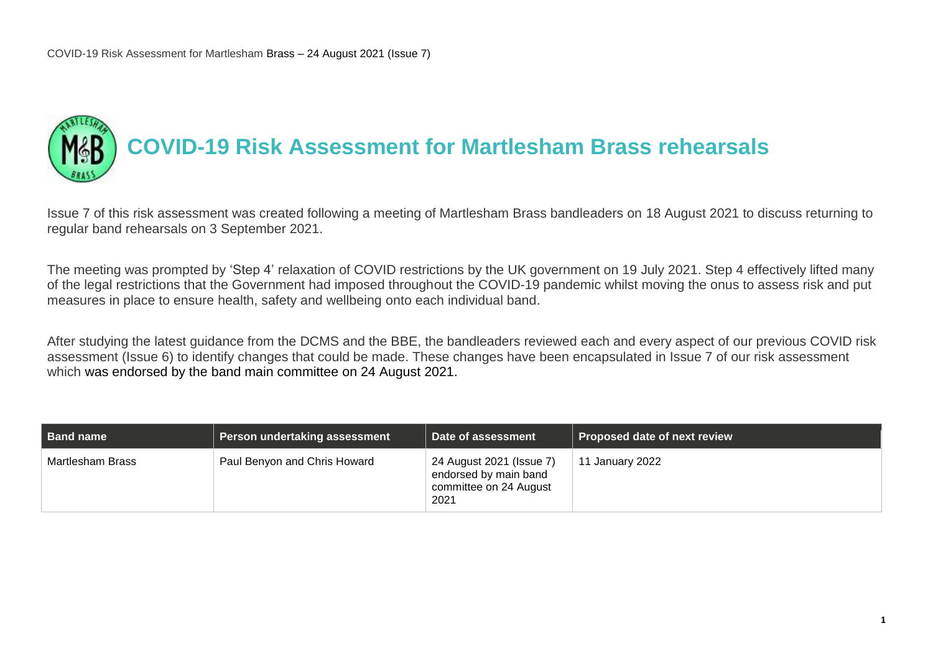

Issue 7 of this risk assessment was created following a meeting of Martlesham Brass bandleaders on 18 August 2021 to discuss returning to regular band rehearsals on 3 September 2021.

The meeting was prompted by 'Step 4' relaxation of COVID restrictions by the UK government on 19 July 2021. Step 4 effectively lifted many of the legal restrictions that the Government had imposed throughout the COVID-19 pandemic whilst moving the onus to assess risk and put measures in place to ensure health, safety and wellbeing onto each individual band.

After studying the latest guidance from the DCMS and the BBE, the bandleaders reviewed each and every aspect of our previous COVID risk assessment (Issue 6) to identify changes that could be made. These changes have been encapsulated in Issue 7 of our risk assessment which was endorsed by the band main committee on 24 August 2021.

| Band name        | Person undertaking assessment | Date of assessment                                                                  | Proposed date of next review |
|------------------|-------------------------------|-------------------------------------------------------------------------------------|------------------------------|
| Martlesham Brass | Paul Benyon and Chris Howard  | 24 August 2021 (Issue 7)<br>endorsed by main band<br>committee on 24 August<br>2021 | 11 January 2022              |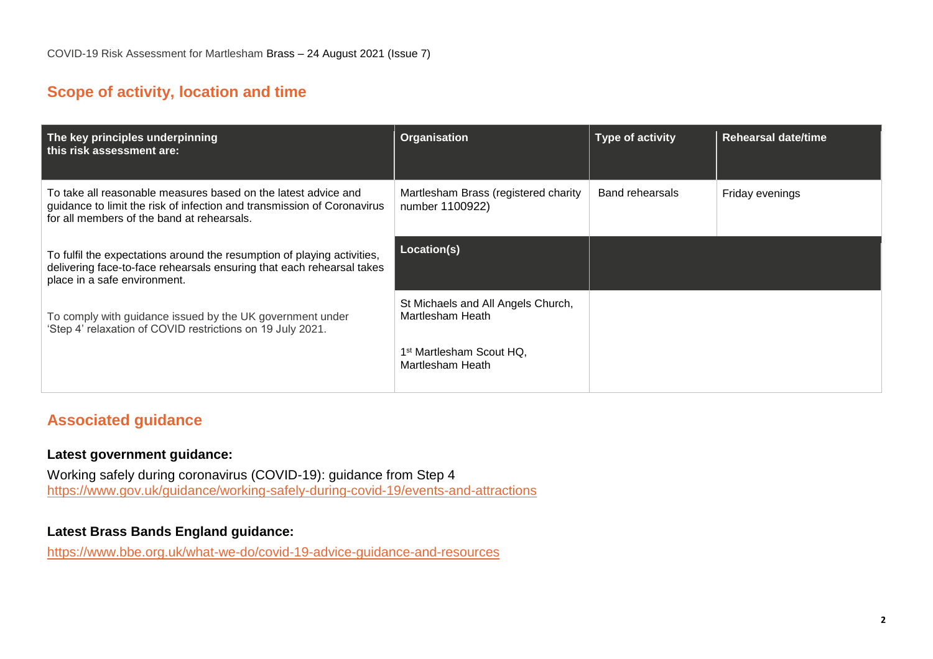# **Scope of activity, location and time**

| The key principles underpinning<br>this risk assessment are:                                                                                                                            | <b>Organisation</b>                                      | <b>Type of activity</b> | <b>Rehearsal date/time</b> |
|-----------------------------------------------------------------------------------------------------------------------------------------------------------------------------------------|----------------------------------------------------------|-------------------------|----------------------------|
| To take all reasonable measures based on the latest advice and<br>guidance to limit the risk of infection and transmission of Coronavirus<br>for all members of the band at rehearsals. | Martlesham Brass (registered charity<br>number 1100922)  | <b>Band rehearsals</b>  | Friday evenings            |
| To fulfil the expectations around the resumption of playing activities,<br>delivering face-to-face rehearsals ensuring that each rehearsal takes<br>place in a safe environment.        | Location(s)                                              |                         |                            |
| To comply with guidance issued by the UK government under<br>'Step 4' relaxation of COVID restrictions on 19 July 2021.                                                                 | St Michaels and All Angels Church,<br>Martlesham Heath   |                         |                            |
|                                                                                                                                                                                         | 1 <sup>st</sup> Martlesham Scout HQ.<br>Martlesham Heath |                         |                            |

# **Associated guidance**

#### **Latest government guidance:**

Working safely during coronavirus (COVID-19): guidance from Step 4 <https://www.gov.uk/guidance/working-safely-during-covid-19/events-and-attractions>

#### **Latest Brass Bands England guidance:**

<https://www.bbe.org.uk/what-we-do/covid-19-advice-guidance-and-resources>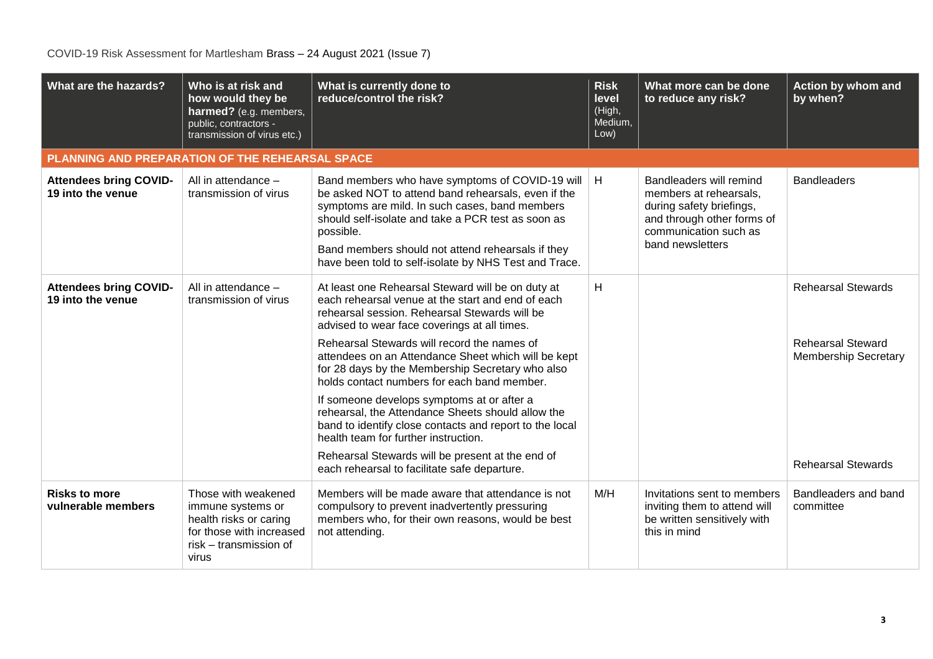| What are the hazards?                              | Who is at risk and<br>how would they be<br>harmed? (e.g. members,<br>public, contractors -<br>transmission of virus etc.)         | What is currently done to<br>reduce/control the risk?                                                                                                                                                                                                                                                                                                                                                                                                                                                                                                                                                                                                                                                                      | <b>Risk</b><br>level<br>(High,<br>Medium,<br>Low) | What more can be done<br>to reduce any risk?                                                                                                             | Action by whom and<br>by when?                                                                                    |  |  |  |
|----------------------------------------------------|-----------------------------------------------------------------------------------------------------------------------------------|----------------------------------------------------------------------------------------------------------------------------------------------------------------------------------------------------------------------------------------------------------------------------------------------------------------------------------------------------------------------------------------------------------------------------------------------------------------------------------------------------------------------------------------------------------------------------------------------------------------------------------------------------------------------------------------------------------------------------|---------------------------------------------------|----------------------------------------------------------------------------------------------------------------------------------------------------------|-------------------------------------------------------------------------------------------------------------------|--|--|--|
|                                                    | PLANNING AND PREPARATION OF THE REHEARSAL SPACE                                                                                   |                                                                                                                                                                                                                                                                                                                                                                                                                                                                                                                                                                                                                                                                                                                            |                                                   |                                                                                                                                                          |                                                                                                                   |  |  |  |
| <b>Attendees bring COVID-</b><br>19 into the venue | All in attendance -<br>transmission of virus                                                                                      | Band members who have symptoms of COVID-19 will<br>be asked NOT to attend band rehearsals, even if the<br>symptoms are mild. In such cases, band members<br>should self-isolate and take a PCR test as soon as<br>possible.<br>Band members should not attend rehearsals if they<br>have been told to self-isolate by NHS Test and Trace.                                                                                                                                                                                                                                                                                                                                                                                  | H                                                 | Bandleaders will remind<br>members at rehearsals.<br>during safety briefings,<br>and through other forms of<br>communication such as<br>band newsletters | <b>Bandleaders</b>                                                                                                |  |  |  |
| <b>Attendees bring COVID-</b><br>19 into the venue | All in attendance -<br>transmission of virus                                                                                      | At least one Rehearsal Steward will be on duty at<br>each rehearsal venue at the start and end of each<br>rehearsal session. Rehearsal Stewards will be<br>advised to wear face coverings at all times.<br>Rehearsal Stewards will record the names of<br>attendees on an Attendance Sheet which will be kept<br>for 28 days by the Membership Secretary who also<br>holds contact numbers for each band member.<br>If someone develops symptoms at or after a<br>rehearsal, the Attendance Sheets should allow the<br>band to identify close contacts and report to the local<br>health team for further instruction.<br>Rehearsal Stewards will be present at the end of<br>each rehearsal to facilitate safe departure. | H                                                 |                                                                                                                                                          | <b>Rehearsal Stewards</b><br><b>Rehearsal Steward</b><br><b>Membership Secretary</b><br><b>Rehearsal Stewards</b> |  |  |  |
| <b>Risks to more</b><br>vulnerable members         | Those with weakened<br>immune systems or<br>health risks or caring<br>for those with increased<br>risk - transmission of<br>virus | Members will be made aware that attendance is not<br>compulsory to prevent inadvertently pressuring<br>members who, for their own reasons, would be best<br>not attending.                                                                                                                                                                                                                                                                                                                                                                                                                                                                                                                                                 | M/H                                               | Invitations sent to members<br>inviting them to attend will<br>be written sensitively with<br>this in mind                                               | Bandleaders and band<br>committee                                                                                 |  |  |  |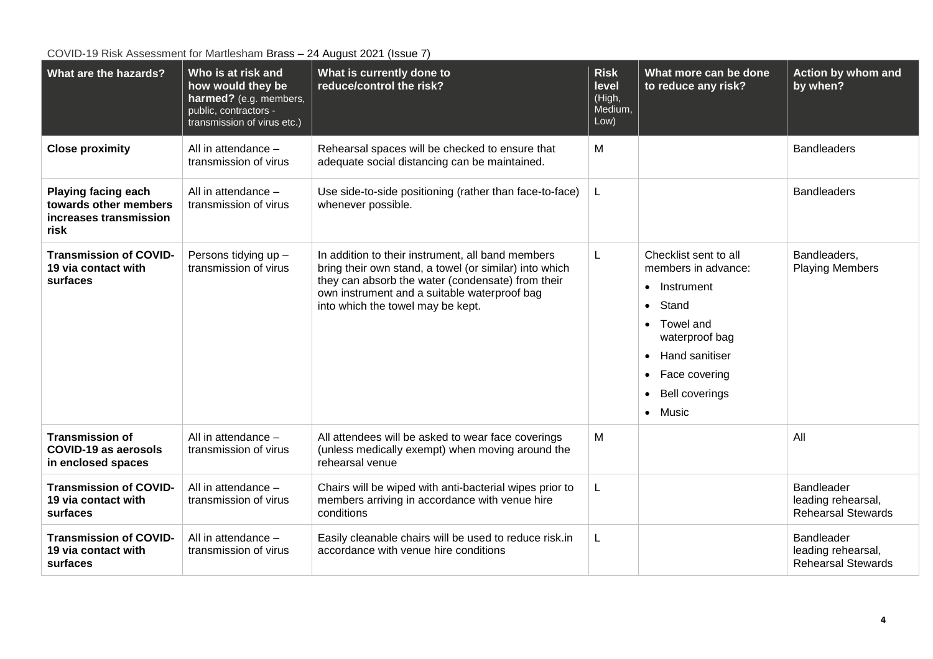**What are the hazards? Who is at risk and how would they be harmed?** (e.g. members, public, contractors transmission of virus etc.) **What is currently done to reduce/control the risk? Risk level**  (High, Medium, Low) **What more can be done to reduce any risk? Action by whom and by when? Close proximity** All in attendance – transmission of virus Rehearsal spaces will be checked to ensure that adequate social distancing can be maintained. M Bandleaders **Playing facing each towards other members increases transmission risk** All in attendance – transmission of virus Use side-to-side positioning (rather than face-to-face) whenever possible. L Bandleaders **Transmission of COVID-19 via contact with surfaces** Persons tidying up – transmission of virus In addition to their instrument, all band members bring their own stand, a towel (or similar) into which they can absorb the water (condensate) from their own instrument and a suitable waterproof bag into which the towel may be kept. L Checklist sent to all members in advance: • Instrument • Stand • Towel and waterproof bag • Hand sanitiser • Face covering • Bell coverings • Music **Bandleaders** Playing Members **Transmission of COVID-19 as aerosols in enclosed spaces** All in attendance – transmission of virus All attendees will be asked to wear face coverings (unless medically exempt) when moving around the rehearsal venue M All **Transmission of COVID-19 via contact with surfaces** All in attendance – transmission of virus Chairs will be wiped with anti-bacterial wipes prior to members arriving in accordance with venue hire conditions L Bandleader leading rehearsal, Rehearsal Stewards **Transmission of COVID-19 via contact with surfaces** All in attendance – transmission of virus Easily cleanable chairs will be used to reduce risk.in accordance with venue hire conditions L Bandleader leading rehearsal, Rehearsal Stewards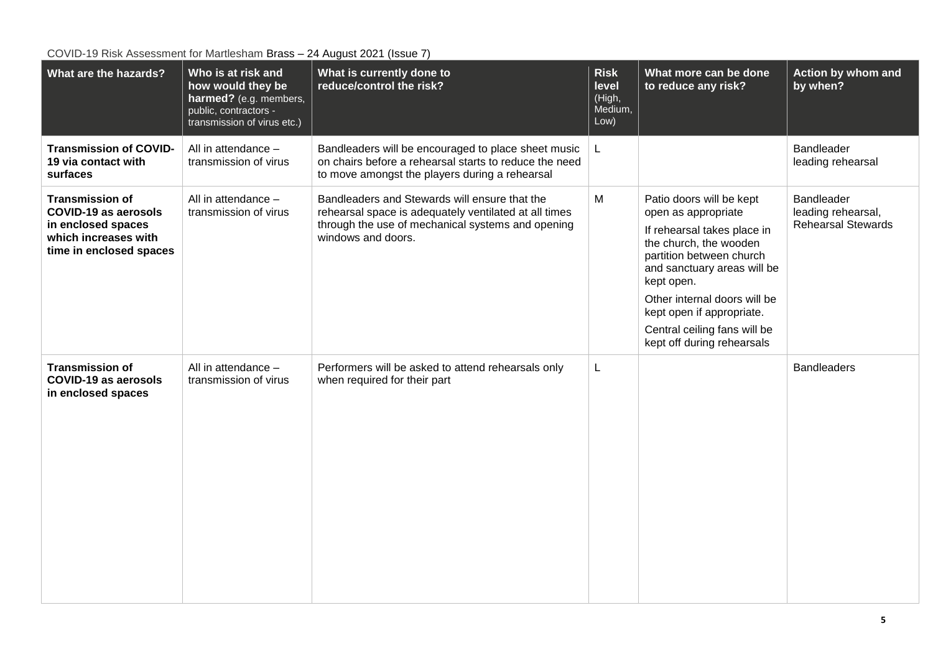| What are the hazards?                                                                                                          | Who is at risk and<br>how would they be<br>harmed? (e.g. members,<br>public, contractors -<br>transmission of virus etc.) | What is currently done to<br>reduce/control the risk?                                                                                                                             | <b>Risk</b><br>level<br>(High,<br>Medium,<br>Low) | What more can be done<br>to reduce any risk?                                                                                                                                                                                                                                                                 | Action by whom and<br>by when?                                |
|--------------------------------------------------------------------------------------------------------------------------------|---------------------------------------------------------------------------------------------------------------------------|-----------------------------------------------------------------------------------------------------------------------------------------------------------------------------------|---------------------------------------------------|--------------------------------------------------------------------------------------------------------------------------------------------------------------------------------------------------------------------------------------------------------------------------------------------------------------|---------------------------------------------------------------|
| <b>Transmission of COVID-</b><br>19 via contact with<br>surfaces                                                               | All in attendance -<br>transmission of virus                                                                              | Bandleaders will be encouraged to place sheet music<br>on chairs before a rehearsal starts to reduce the need<br>to move amongst the players during a rehearsal                   | L                                                 |                                                                                                                                                                                                                                                                                                              | <b>Bandleader</b><br>leading rehearsal                        |
| <b>Transmission of</b><br><b>COVID-19 as aerosols</b><br>in enclosed spaces<br>which increases with<br>time in enclosed spaces | All in attendance -<br>transmission of virus                                                                              | Bandleaders and Stewards will ensure that the<br>rehearsal space is adequately ventilated at all times<br>through the use of mechanical systems and opening<br>windows and doors. | M                                                 | Patio doors will be kept<br>open as appropriate<br>If rehearsal takes place in<br>the church, the wooden<br>partition between church<br>and sanctuary areas will be<br>kept open.<br>Other internal doors will be<br>kept open if appropriate.<br>Central ceiling fans will be<br>kept off during rehearsals | Bandleader<br>leading rehearsal,<br><b>Rehearsal Stewards</b> |
| <b>Transmission of</b><br>COVID-19 as aerosols<br>in enclosed spaces                                                           | All in attendance -<br>transmission of virus                                                                              | Performers will be asked to attend rehearsals only<br>when required for their part                                                                                                | L                                                 |                                                                                                                                                                                                                                                                                                              | <b>Bandleaders</b>                                            |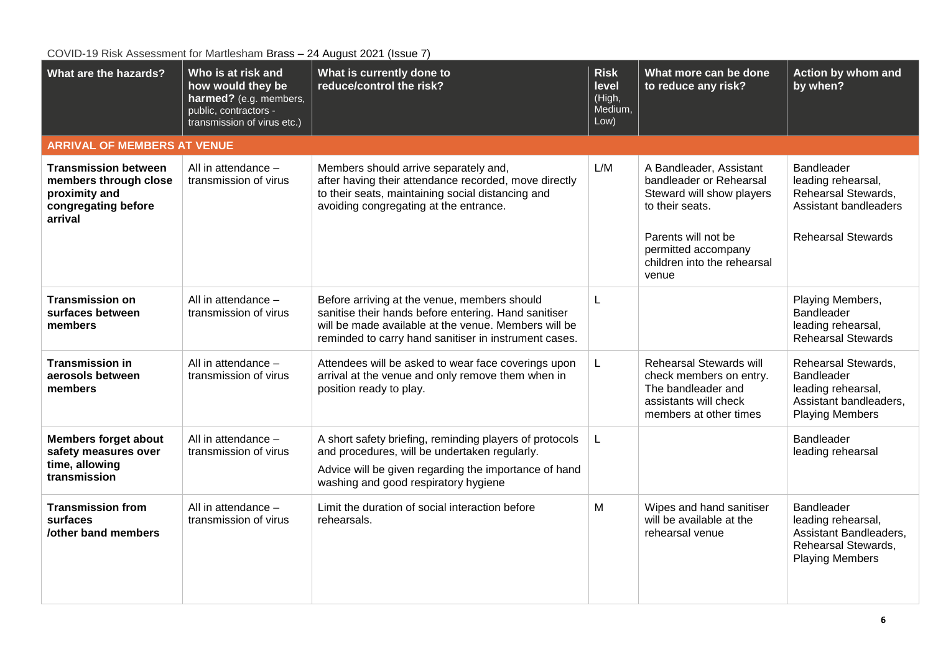| What are the hazards?                                                                                   | Who is at risk and<br>how would they be<br>harmed? (e.g. members,<br>public, contractors -<br>transmission of virus etc.) | What is currently done to<br>reduce/control the risk?                                                                                                                                                                 | <b>Risk</b><br>level<br>(High,<br>Medium,<br>Low) | What more can be done<br>to reduce any risk?                                                                                | Action by whom and<br>by when?                                                                              |  |
|---------------------------------------------------------------------------------------------------------|---------------------------------------------------------------------------------------------------------------------------|-----------------------------------------------------------------------------------------------------------------------------------------------------------------------------------------------------------------------|---------------------------------------------------|-----------------------------------------------------------------------------------------------------------------------------|-------------------------------------------------------------------------------------------------------------|--|
| <b>ARRIVAL OF MEMBERS AT VENUE</b>                                                                      |                                                                                                                           |                                                                                                                                                                                                                       |                                                   |                                                                                                                             |                                                                                                             |  |
| <b>Transmission between</b><br>members through close<br>proximity and<br>congregating before<br>arrival | All in attendance -<br>transmission of virus                                                                              | Members should arrive separately and,<br>after having their attendance recorded, move directly<br>to their seats, maintaining social distancing and<br>avoiding congregating at the entrance.                         | L/M                                               | A Bandleader, Assistant<br>bandleader or Rehearsal<br>Steward will show players<br>to their seats.                          | Bandleader<br>leading rehearsal,<br>Rehearsal Stewards,<br>Assistant bandleaders                            |  |
|                                                                                                         |                                                                                                                           |                                                                                                                                                                                                                       |                                                   | Parents will not be<br>permitted accompany<br>children into the rehearsal<br>venue                                          | <b>Rehearsal Stewards</b>                                                                                   |  |
| <b>Transmission on</b><br>surfaces between<br>members                                                   | All in attendance -<br>transmission of virus                                                                              | Before arriving at the venue, members should<br>sanitise their hands before entering. Hand sanitiser<br>will be made available at the venue. Members will be<br>reminded to carry hand sanitiser in instrument cases. | L                                                 |                                                                                                                             | Playing Members,<br>Bandleader<br>leading rehearsal,<br><b>Rehearsal Stewards</b>                           |  |
| <b>Transmission in</b><br>aerosols between<br>members                                                   | All in attendance -<br>transmission of virus                                                                              | Attendees will be asked to wear face coverings upon<br>arrival at the venue and only remove them when in<br>position ready to play.                                                                                   | L                                                 | Rehearsal Stewards will<br>check members on entry.<br>The bandleader and<br>assistants will check<br>members at other times | Rehearsal Stewards,<br>Bandleader<br>leading rehearsal,<br>Assistant bandleaders,<br><b>Playing Members</b> |  |
| <b>Members forget about</b><br>safety measures over<br>time, allowing<br>transmission                   | All in attendance -<br>transmission of virus                                                                              | A short safety briefing, reminding players of protocols<br>and procedures, will be undertaken regularly.<br>Advice will be given regarding the importance of hand<br>washing and good respiratory hygiene             | L                                                 |                                                                                                                             | Bandleader<br>leading rehearsal                                                                             |  |
| <b>Transmission from</b><br>surfaces<br><b>/other band members</b>                                      | All in attendance -<br>transmission of virus                                                                              | Limit the duration of social interaction before<br>rehearsals.                                                                                                                                                        | M                                                 | Wipes and hand sanitiser<br>will be available at the<br>rehearsal venue                                                     | Bandleader<br>leading rehearsal,<br>Assistant Bandleaders,<br>Rehearsal Stewards,<br><b>Playing Members</b> |  |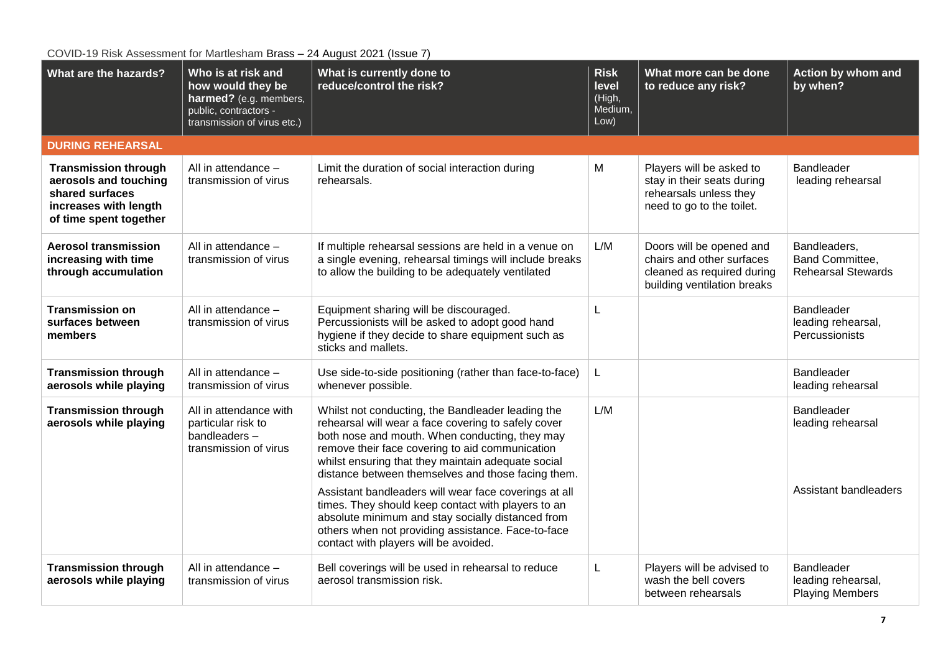| What are the hazards?                                                                                                      | Who is at risk and<br>how would they be<br>harmed? (e.g. members,<br>public, contractors -<br>transmission of virus etc.) | $= 1, 1, \ldots$<br>What is currently done to<br>reduce/control the risk?                                                                                                                                                                                                                                                                                                          | <b>Risk</b><br>level<br>(High,<br>Medium,<br>Low) | What more can be done<br>to reduce any risk?                                                                       | Action by whom and<br>by when?                                  |
|----------------------------------------------------------------------------------------------------------------------------|---------------------------------------------------------------------------------------------------------------------------|------------------------------------------------------------------------------------------------------------------------------------------------------------------------------------------------------------------------------------------------------------------------------------------------------------------------------------------------------------------------------------|---------------------------------------------------|--------------------------------------------------------------------------------------------------------------------|-----------------------------------------------------------------|
| <b>DURING REHEARSAL</b>                                                                                                    |                                                                                                                           |                                                                                                                                                                                                                                                                                                                                                                                    |                                                   |                                                                                                                    |                                                                 |
| <b>Transmission through</b><br>aerosols and touching<br>shared surfaces<br>increases with length<br>of time spent together | All in attendance -<br>transmission of virus                                                                              | Limit the duration of social interaction during<br>rehearsals.                                                                                                                                                                                                                                                                                                                     | M                                                 | Players will be asked to<br>stay in their seats during<br>rehearsals unless they<br>need to go to the toilet.      | Bandleader<br>leading rehearsal                                 |
| <b>Aerosol transmission</b><br>increasing with time<br>through accumulation                                                | All in attendance -<br>transmission of virus                                                                              | If multiple rehearsal sessions are held in a venue on<br>a single evening, rehearsal timings will include breaks<br>to allow the building to be adequately ventilated                                                                                                                                                                                                              | L/M                                               | Doors will be opened and<br>chairs and other surfaces<br>cleaned as required during<br>building ventilation breaks | Bandleaders,<br>Band Committee,<br><b>Rehearsal Stewards</b>    |
| <b>Transmission on</b><br>surfaces between<br>members                                                                      | All in attendance -<br>transmission of virus                                                                              | Equipment sharing will be discouraged.<br>Percussionists will be asked to adopt good hand<br>hygiene if they decide to share equipment such as<br>sticks and mallets.                                                                                                                                                                                                              | L                                                 |                                                                                                                    | <b>Bandleader</b><br>leading rehearsal,<br>Percussionists       |
| <b>Transmission through</b><br>aerosols while playing                                                                      | All in attendance -<br>transmission of virus                                                                              | Use side-to-side positioning (rather than face-to-face)<br>whenever possible.                                                                                                                                                                                                                                                                                                      | L                                                 |                                                                                                                    | Bandleader<br>leading rehearsal                                 |
| <b>Transmission through</b><br>aerosols while playing                                                                      | All in attendance with<br>particular risk to<br>bandleaders-<br>transmission of virus                                     | Whilst not conducting, the Bandleader leading the<br>rehearsal will wear a face covering to safely cover<br>both nose and mouth. When conducting, they may<br>remove their face covering to aid communication<br>whilst ensuring that they maintain adequate social<br>distance between themselves and those facing them.<br>Assistant bandleaders will wear face coverings at all | L/M                                               |                                                                                                                    | <b>Bandleader</b><br>leading rehearsal<br>Assistant bandleaders |
|                                                                                                                            |                                                                                                                           | times. They should keep contact with players to an<br>absolute minimum and stay socially distanced from<br>others when not providing assistance. Face-to-face<br>contact with players will be avoided.                                                                                                                                                                             |                                                   |                                                                                                                    |                                                                 |
| <b>Transmission through</b><br>aerosols while playing                                                                      | All in attendance -<br>transmission of virus                                                                              | Bell coverings will be used in rehearsal to reduce<br>aerosol transmission risk.                                                                                                                                                                                                                                                                                                   | L                                                 | Players will be advised to<br>wash the bell covers<br>between rehearsals                                           | Bandleader<br>leading rehearsal,<br><b>Playing Members</b>      |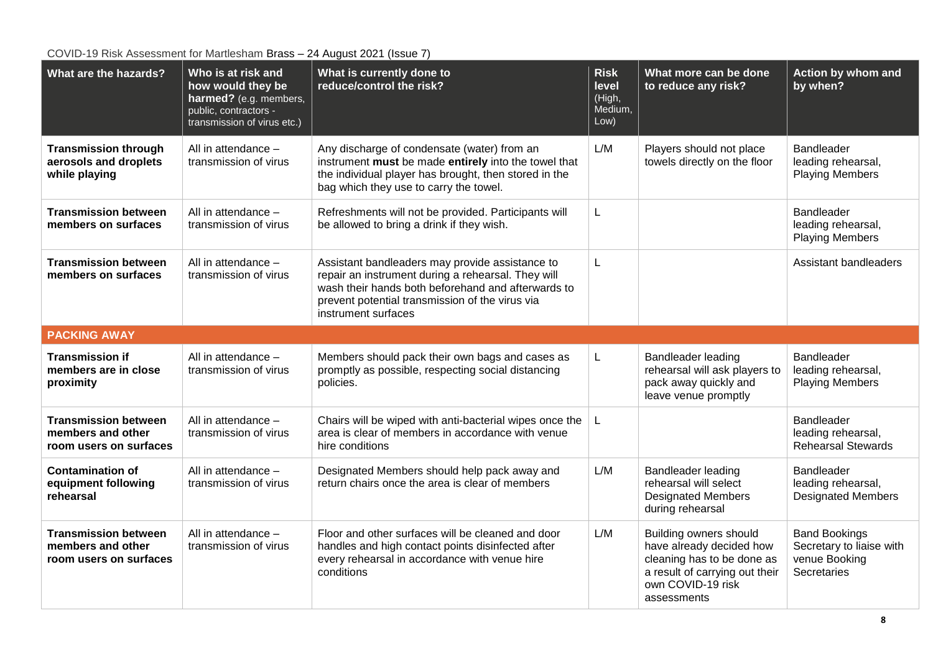| What are the hazards?                                                      | Who is at risk and<br>how would they be<br>harmed? (e.g. members,<br>public, contractors -<br>transmission of virus etc.) | What is currently done to<br>reduce/control the risk?                                                                                                                                                                                 | <b>Risk</b><br>level<br>(High,<br>Medium,<br>Low) | What more can be done<br>to reduce any risk?                                                                | Action by whom and<br>by when?                                       |
|----------------------------------------------------------------------------|---------------------------------------------------------------------------------------------------------------------------|---------------------------------------------------------------------------------------------------------------------------------------------------------------------------------------------------------------------------------------|---------------------------------------------------|-------------------------------------------------------------------------------------------------------------|----------------------------------------------------------------------|
| <b>Transmission through</b><br>aerosols and droplets<br>while playing      | All in attendance -<br>transmission of virus                                                                              | Any discharge of condensate (water) from an<br>instrument must be made entirely into the towel that<br>the individual player has brought, then stored in the<br>bag which they use to carry the towel.                                | L/M                                               | Players should not place<br>towels directly on the floor                                                    | <b>Bandleader</b><br>leading rehearsal,<br><b>Playing Members</b>    |
| <b>Transmission between</b><br>members on surfaces                         | All in attendance -<br>transmission of virus                                                                              | Refreshments will not be provided. Participants will<br>be allowed to bring a drink if they wish.                                                                                                                                     | L                                                 |                                                                                                             | <b>Bandleader</b><br>leading rehearsal,<br><b>Playing Members</b>    |
| <b>Transmission between</b><br>members on surfaces                         | All in attendance -<br>transmission of virus                                                                              | Assistant bandleaders may provide assistance to<br>repair an instrument during a rehearsal. They will<br>wash their hands both beforehand and afterwards to<br>prevent potential transmission of the virus via<br>instrument surfaces | L                                                 |                                                                                                             | Assistant bandleaders                                                |
| <b>PACKING AWAY</b>                                                        |                                                                                                                           |                                                                                                                                                                                                                                       |                                                   |                                                                                                             |                                                                      |
|                                                                            |                                                                                                                           |                                                                                                                                                                                                                                       |                                                   |                                                                                                             |                                                                      |
| <b>Transmission if</b><br>members are in close<br>proximity                | All in attendance -<br>transmission of virus                                                                              | Members should pack their own bags and cases as<br>promptly as possible, respecting social distancing<br>policies.                                                                                                                    | L                                                 | <b>Bandleader leading</b><br>rehearsal will ask players to<br>pack away quickly and<br>leave venue promptly | <b>Bandleader</b><br>leading rehearsal,<br><b>Playing Members</b>    |
| <b>Transmission between</b><br>members and other<br>room users on surfaces | All in attendance -<br>transmission of virus                                                                              | Chairs will be wiped with anti-bacterial wipes once the<br>area is clear of members in accordance with venue<br>hire conditions                                                                                                       | L                                                 |                                                                                                             | <b>Bandleader</b><br>leading rehearsal,<br><b>Rehearsal Stewards</b> |
| <b>Contamination of</b><br>equipment following<br>rehearsal                | All in attendance -<br>transmission of virus                                                                              | Designated Members should help pack away and<br>return chairs once the area is clear of members                                                                                                                                       | L/M                                               | Bandleader leading<br>rehearsal will select<br><b>Designated Members</b><br>during rehearsal                | <b>Bandleader</b><br>leading rehearsal,<br><b>Designated Members</b> |